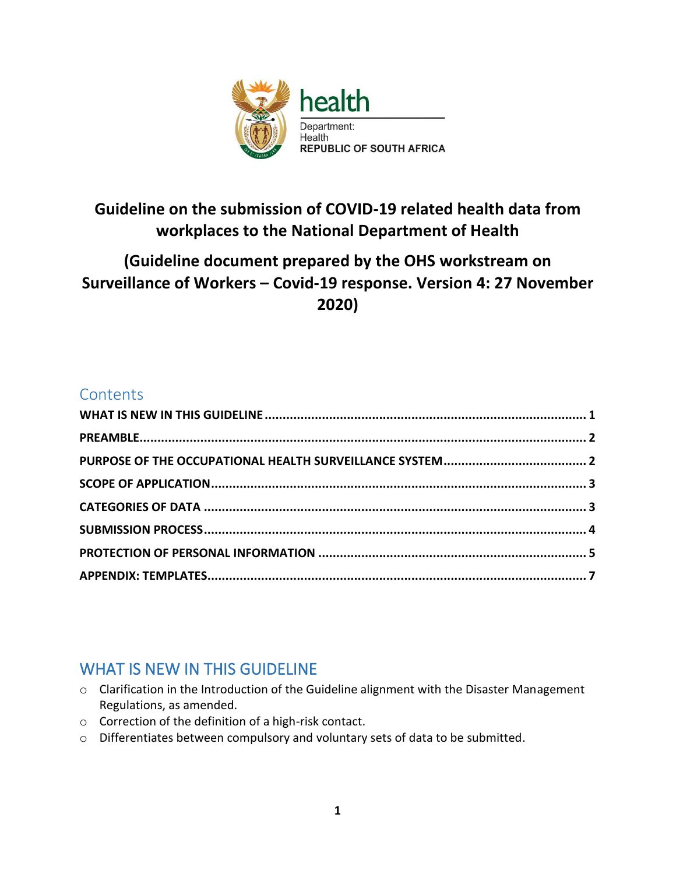

# **Guideline on the submission of COVID-19 related health data from workplaces to the National Department of Health**

# **(Guideline document prepared by the OHS workstream on Surveillance of Workers – Covid-19 response. Version 4: 27 November 2020)**

### **Contents**

# <span id="page-0-0"></span>WHAT IS NEW IN THIS GUIDELINE

- o Clarification in the Introduction of the Guideline alignment with the Disaster Management Regulations, as amended.
- o Correction of the definition of a high-risk contact.
- o Differentiates between compulsory and voluntary sets of data to be submitted.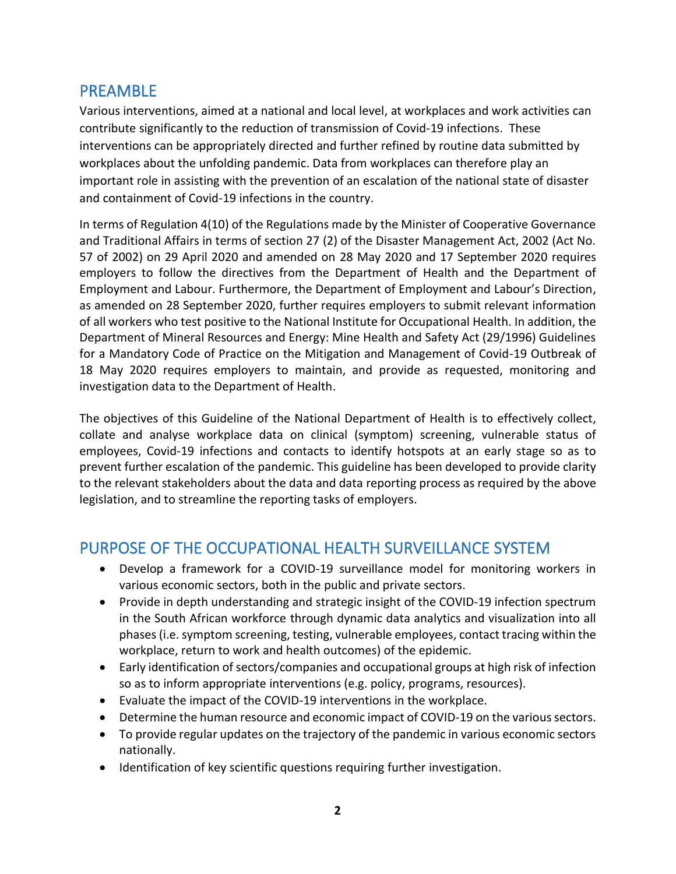#### <span id="page-1-0"></span>PREAMBLE

Various interventions, aimed at a national and local level, at workplaces and work activities can contribute significantly to the reduction of transmission of Covid-19 infections. These interventions can be appropriately directed and further refined by routine data submitted by workplaces about the unfolding pandemic. Data from workplaces can therefore play an important role in assisting with the prevention of an escalation of the national state of disaster and containment of Covid-19 infections in the country.

In terms of Regulation 4(10) of the Regulations made by the Minister of Cooperative Governance and Traditional Affairs in terms of section 27 (2) of the Disaster Management Act, 2002 (Act No. 57 of 2002) on 29 April 2020 and amended on 28 May 2020 and 17 September 2020 requires employers to follow the directives from the Department of Health and the Department of Employment and Labour. Furthermore, the Department of Employment and Labour's Direction, as amended on 28 September 2020, further requires employers to submit relevant information of all workers who test positive to the National Institute for Occupational Health. In addition, the Department of Mineral Resources and Energy: Mine Health and Safety Act (29/1996) Guidelines for a Mandatory Code of Practice on the Mitigation and Management of Covid-19 Outbreak of 18 May 2020 requires employers to maintain, and provide as requested, monitoring and investigation data to the Department of Health.

The objectives of this Guideline of the National Department of Health is to effectively collect, collate and analyse workplace data on clinical (symptom) screening, vulnerable status of employees, Covid-19 infections and contacts to identify hotspots at an early stage so as to prevent further escalation of the pandemic. This guideline has been developed to provide clarity to the relevant stakeholders about the data and data reporting process as required by the above legislation, and to streamline the reporting tasks of employers.

### <span id="page-1-1"></span>PURPOSE OF THE OCCUPATIONAL HEALTH SURVEILLANCE SYSTEM

- Develop a framework for a COVID-19 surveillance model for monitoring workers in various economic sectors, both in the public and private sectors.
- Provide in depth understanding and strategic insight of the COVID-19 infection spectrum in the South African workforce through dynamic data analytics and visualization into all phases (i.e. symptom screening, testing, vulnerable employees, contact tracing within the workplace, return to work and health outcomes) of the epidemic.
- Early identification of sectors/companies and occupational groups at high risk of infection so as to inform appropriate interventions (e.g. policy, programs, resources).
- Evaluate the impact of the COVID-19 interventions in the workplace.
- Determine the human resource and economic impact of COVID-19 on the various sectors.
- To provide regular updates on the trajectory of the pandemic in various economic sectors nationally.
- Identification of key scientific questions requiring further investigation.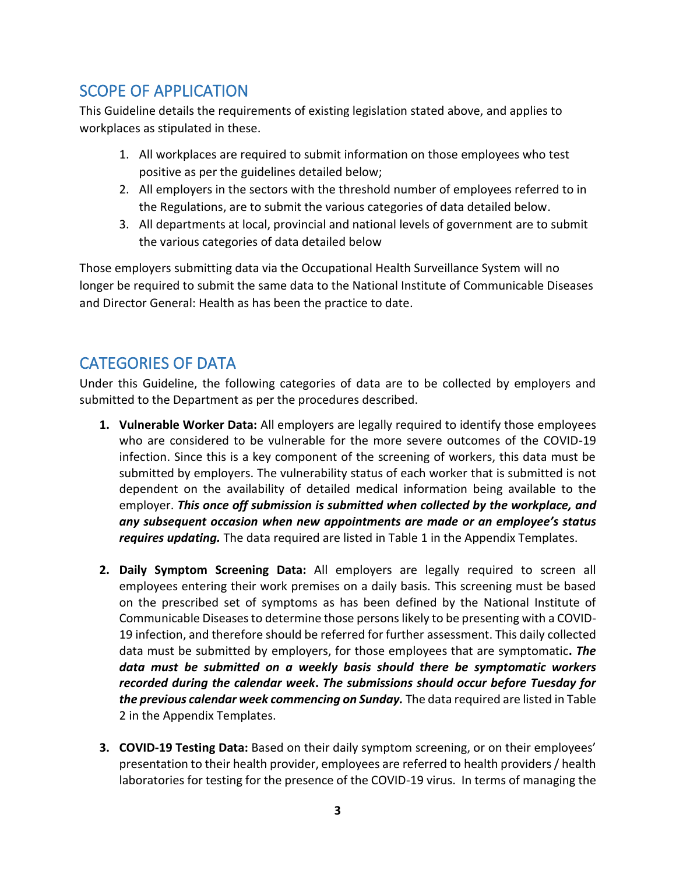# <span id="page-2-0"></span>SCOPE OF APPLICATION

This Guideline details the requirements of existing legislation stated above, and applies to workplaces as stipulated in these.

- 1. All workplaces are required to submit information on those employees who test positive as per the guidelines detailed below;
- 2. All employers in the sectors with the threshold number of employees referred to in the Regulations, are to submit the various categories of data detailed below.
- 3. All departments at local, provincial and national levels of government are to submit the various categories of data detailed below

Those employers submitting data via the Occupational Health Surveillance System will no longer be required to submit the same data to the National Institute of Communicable Diseases and Director General: Health as has been the practice to date.

### <span id="page-2-1"></span>CATEGORIES OF DATA

Under this Guideline, the following categories of data are to be collected by employers and submitted to the Department as per the procedures described.

- **1. Vulnerable Worker Data:** All employers are legally required to identify those employees who are considered to be vulnerable for the more severe outcomes of the COVID-19 infection. Since this is a key component of the screening of workers, this data must be submitted by employers. The vulnerability status of each worker that is submitted is not dependent on the availability of detailed medical information being available to the employer. *This once off submission is submitted when collected by the workplace, and any subsequent occasion when new appointments are made or an employee's status requires updating.* The data required are listed in Table 1 in the Appendix Templates.
- **2. Daily Symptom Screening Data:** All employers are legally required to screen all employees entering their work premises on a daily basis. This screening must be based on the prescribed set of symptoms as has been defined by the National Institute of Communicable Diseases to determine those persons likely to be presenting with a COVID-19 infection, and therefore should be referred for further assessment. This daily collected data must be submitted by employers, for those employees that are symptomatic**.** *The data must be submitted on a weekly basis should there be symptomatic workers recorded during the calendar week***.** *The submissions should occur before Tuesday for the previous calendar week commencing on Sunday.* The data required are listed in Table 2 in the Appendix Templates.
- **3. COVID-19 Testing Data:** Based on their daily symptom screening, or on their employees' presentation to their health provider, employees are referred to health providers / health laboratories for testing for the presence of the COVID-19 virus. In terms of managing the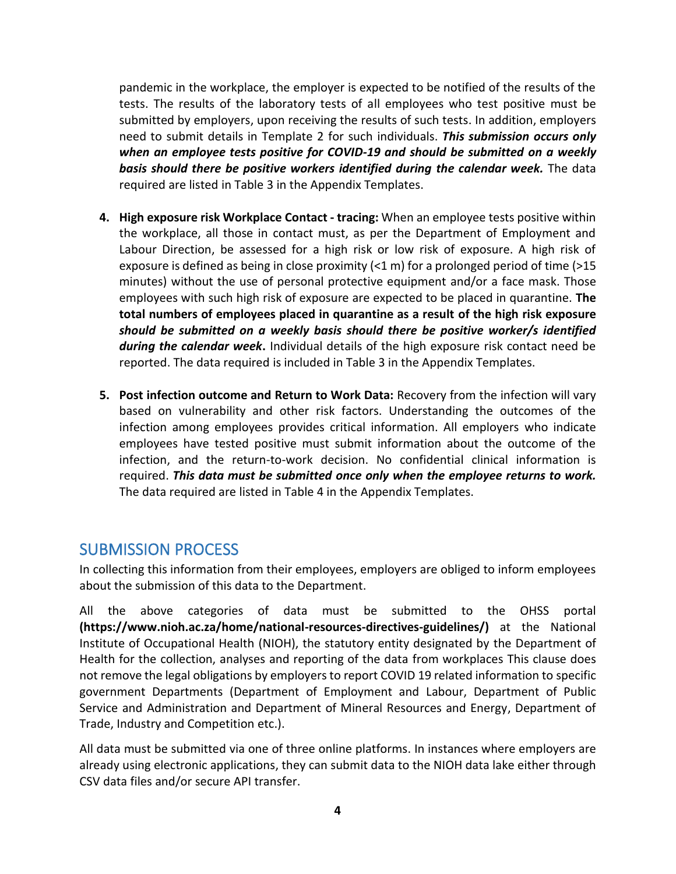pandemic in the workplace, the employer is expected to be notified of the results of the tests. The results of the laboratory tests of all employees who test positive must be submitted by employers, upon receiving the results of such tests. In addition, employers need to submit details in Template 2 for such individuals. *This submission occurs only when an employee tests positive for COVID-19 and should be submitted on a weekly basis should there be positive workers identified during the calendar week.* The data required are listed in Table 3 in the Appendix Templates.

- **4. High exposure risk Workplace Contact - tracing:** When an employee tests positive within the workplace, all those in contact must, as per the Department of Employment and Labour Direction, be assessed for a high risk or low risk of exposure. A high risk of exposure is defined as being in close proximity  $(21 \text{ m})$  for a prolonged period of time ( $>15$ ) minutes) without the use of personal protective equipment and/or a face mask. Those employees with such high risk of exposure are expected to be placed in quarantine. **The total numbers of employees placed in quarantine as a result of the high risk exposure** *should be submitted on a weekly basis should there be positive worker/s identified during the calendar week***.** Individual details of the high exposure risk contact need be reported. The data required is included in Table 3 in the Appendix Templates.
- **5. Post infection outcome and Return to Work Data:** Recovery from the infection will vary based on vulnerability and other risk factors. Understanding the outcomes of the infection among employees provides critical information. All employers who indicate employees have tested positive must submit information about the outcome of the infection, and the return-to-work decision. No confidential clinical information is required. *This data must be submitted once only when the employee returns to work.* The data required are listed in Table 4 in the Appendix Templates.

#### <span id="page-3-0"></span>SUBMISSION PROCESS

In collecting this information from their employees, employers are obliged to inform employees about the submission of this data to the Department.

All the above categories of data must be submitted to the OHSS portal **(https://www.nioh.ac.za/home/national-resources-directives-guidelines/)** at the National Institute of Occupational Health (NIOH), the statutory entity designated by the Department of Health for the collection, analyses and reporting of the data from workplaces This clause does not remove the legal obligations by employers to report COVID 19 related information to specific government Departments (Department of Employment and Labour, Department of Public Service and Administration and Department of Mineral Resources and Energy, Department of Trade, Industry and Competition etc.).

All data must be submitted via one of three online platforms. In instances where employers are already using electronic applications, they can submit data to the NIOH data lake either through CSV data files and/or secure API transfer.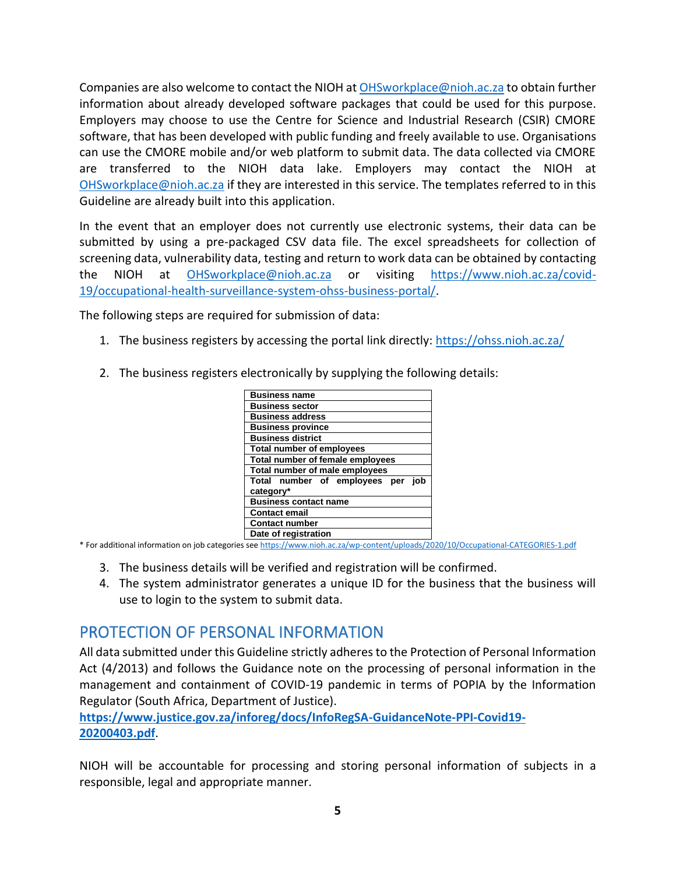Companies are also welcome to contact the NIOH a[t OHSworkplace@nioh.ac.za](mailto:OHSworkplace@nioh.ac.za) to obtain further information about already developed software packages that could be used for this purpose. Employers may choose to use the Centre for Science and Industrial Research (CSIR) CMORE software, that has been developed with public funding and freely available to use. Organisations can use the CMORE mobile and/or web platform to submit data. The data collected via CMORE are transferred to the NIOH data lake. Employers may contact the NIOH at [OHSworkplace@nioh.ac.za](mailto:OHSworkplace@nioh.ac.za) if they are interested in this service. The templates referred to in this Guideline are already built into this application.

In the event that an employer does not currently use electronic systems, their data can be submitted by using a pre-packaged CSV data file. The excel spreadsheets for collection of screening data, vulnerability data, testing and return to work data can be obtained by contacting the NIOH at [OHSworkplace@nioh.ac.za](mailto:OHSworkplace@nioh.ac.za) or visiting [https://www.nioh.ac.za/covid-](https://www.nioh.ac.za/covid-19/occupational-health-surveillance-system-ohss-business-portal/)[19/occupational-health-surveillance-system-ohss-business-portal/.](https://www.nioh.ac.za/covid-19/occupational-health-surveillance-system-ohss-business-portal/)

The following steps are required for submission of data:

- 1. The business registers by accessing the portal link directly[: https://ohss.nioh.ac.za/](https://ohss.nioh.ac.za/)
- 2. The business registers electronically by supplying the following details:

| <b>Business name</b>                                 |
|------------------------------------------------------|
| <b>Business sector</b>                               |
| <b>Business address</b>                              |
| <b>Business province</b>                             |
| <b>Business district</b>                             |
| <b>Total number of employees</b>                     |
| Total number of female employees                     |
| Total number of male employees                       |
| Total number of employees<br>iob<br>per<br>category* |
| <b>Business contact name</b>                         |
| <b>Contact email</b>                                 |
| <b>Contact number</b>                                |
| Date of registration                                 |

\* For additional information on job categories se[e https://www.nioh.ac.za/wp-content/uploads/2020/10/Occupational-CATEGORIES-1.pdf](https://www.nioh.ac.za/wp-content/uploads/2020/10/Occupational-CATEGORIES-1.pdf)

- 3. The business details will be verified and registration will be confirmed.
- 4. The system administrator generates a unique ID for the business that the business will use to login to the system to submit data.

# <span id="page-4-0"></span>PROTECTION OF PERSONAL INFORMATION

All data submitted under this Guideline strictly adheres to the Protection of Personal Information Act (4/2013) and follows the Guidance note on the processing of personal information in the management and containment of COVID-19 pandemic in terms of POPIA by the Information Regulator (South Africa, Department of Justice).

**[https://www.justice.gov.za/inforeg/docs/InfoRegSA-GuidanceNote-PPI-Covid19-](https://www.justice.gov.za/inforeg/docs/InfoRegSA-GuidanceNote-PPI-Covid19-20200403.pdf) [20200403.pdf](https://www.justice.gov.za/inforeg/docs/InfoRegSA-GuidanceNote-PPI-Covid19-20200403.pdf)**.

NIOH will be accountable for processing and storing personal information of subjects in a responsible, legal and appropriate manner.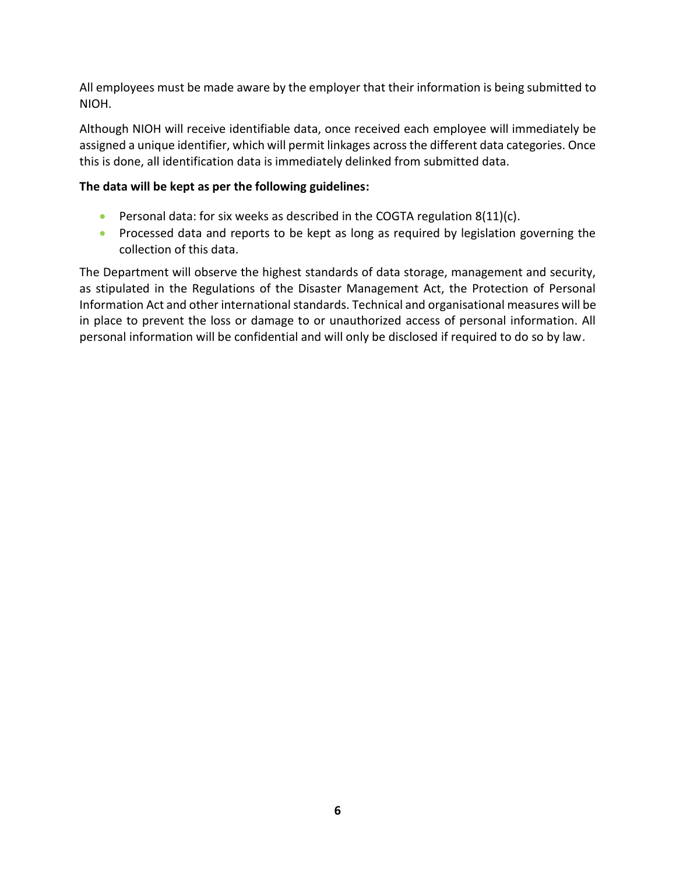All employees must be made aware by the employer that their information is being submitted to NIOH.

Although NIOH will receive identifiable data, once received each employee will immediately be assigned a unique identifier, which will permit linkages across the different data categories. Once this is done, all identification data is immediately delinked from submitted data.

#### **The data will be kept as per the following guidelines:**

- **•** Personal data: for six weeks as described in the COGTA regulation  $8(11)(c)$ .
- Processed data and reports to be kept as long as required by legislation governing the collection of this data.

<span id="page-5-0"></span>The Department will observe the highest standards of data storage, management and security, as stipulated in the Regulations of the Disaster Management Act, the Protection of Personal Information Act and other international standards. Technical and organisational measures will be in place to prevent the loss or damage to or unauthorized access of personal information. All personal information will be confidential and will only be disclosed if required to do so by law.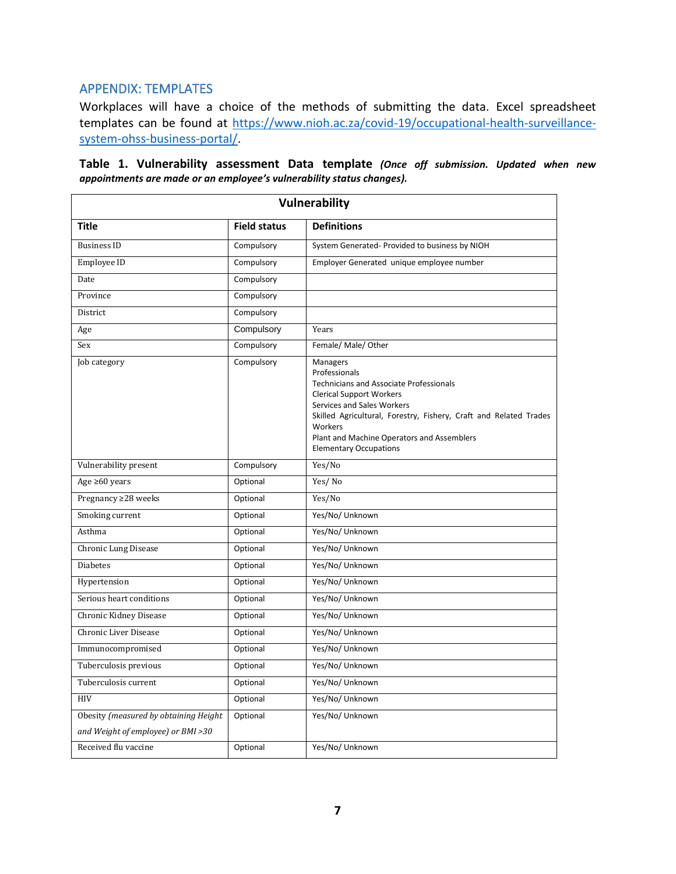#### APPENDIX: TEMPLATES

Workplaces will have a choice of the methods of submitting the data. Excel spreadsheet templates can be found at [https://www.nioh.ac.za/covid-19/occupational-health-surveillance](https://www.nioh.ac.za/covid-19/occupational-health-surveillance-system-ohss-business-portal/)[system-ohss-business-portal/.](https://www.nioh.ac.za/covid-19/occupational-health-surveillance-system-ohss-business-portal/)

| <b>Vulnerability</b>                                                        |                     |                                                                                                                                                                                                                                                                                                             |  |  |
|-----------------------------------------------------------------------------|---------------------|-------------------------------------------------------------------------------------------------------------------------------------------------------------------------------------------------------------------------------------------------------------------------------------------------------------|--|--|
| <b>Title</b>                                                                | <b>Field status</b> | <b>Definitions</b>                                                                                                                                                                                                                                                                                          |  |  |
| <b>Business ID</b>                                                          | Compulsory          | System Generated- Provided to business by NIOH                                                                                                                                                                                                                                                              |  |  |
| Employee ID                                                                 | Compulsory          | Employer Generated unique employee number                                                                                                                                                                                                                                                                   |  |  |
| Date                                                                        | Compulsory          |                                                                                                                                                                                                                                                                                                             |  |  |
| Province                                                                    | Compulsory          |                                                                                                                                                                                                                                                                                                             |  |  |
| District                                                                    | Compulsory          |                                                                                                                                                                                                                                                                                                             |  |  |
| Age                                                                         | Compulsory          | Years                                                                                                                                                                                                                                                                                                       |  |  |
| Sex                                                                         | Compulsory          | Female/ Male/ Other                                                                                                                                                                                                                                                                                         |  |  |
| Job category                                                                | Compulsory          | Managers<br>Professionals<br><b>Technicians and Associate Professionals</b><br><b>Clerical Support Workers</b><br>Services and Sales Workers<br>Skilled Agricultural, Forestry, Fishery, Craft and Related Trades<br>Workers<br>Plant and Machine Operators and Assemblers<br><b>Elementary Occupations</b> |  |  |
| Vulnerability present                                                       | Compulsory          | Yes/No                                                                                                                                                                                                                                                                                                      |  |  |
| Age $\geq 60$ years                                                         | Optional            | Yes/No                                                                                                                                                                                                                                                                                                      |  |  |
| Pregnancy ≥28 weeks                                                         | Optional            | Yes/No                                                                                                                                                                                                                                                                                                      |  |  |
| Smoking current                                                             | Optional            | Yes/No/ Unknown                                                                                                                                                                                                                                                                                             |  |  |
| Asthma                                                                      | Optional            | Yes/No/ Unknown                                                                                                                                                                                                                                                                                             |  |  |
| <b>Chronic Lung Disease</b>                                                 | Optional            | Yes/No/ Unknown                                                                                                                                                                                                                                                                                             |  |  |
| <b>Diabetes</b>                                                             | Optional            | Yes/No/ Unknown                                                                                                                                                                                                                                                                                             |  |  |
| Hypertension                                                                | Optional            | Yes/No/ Unknown                                                                                                                                                                                                                                                                                             |  |  |
| Serious heart conditions                                                    | Optional            | Yes/No/ Unknown                                                                                                                                                                                                                                                                                             |  |  |
| Chronic Kidney Disease                                                      | Optional            | Yes/No/ Unknown                                                                                                                                                                                                                                                                                             |  |  |
| Chronic Liver Disease                                                       | Optional            | Yes/No/ Unknown                                                                                                                                                                                                                                                                                             |  |  |
| Immunocompromised                                                           | Optional            | Yes/No/ Unknown                                                                                                                                                                                                                                                                                             |  |  |
| Tuberculosis previous                                                       | Optional            | Yes/No/ Unknown                                                                                                                                                                                                                                                                                             |  |  |
| Tuberculosis current                                                        | Optional            | Yes/No/ Unknown                                                                                                                                                                                                                                                                                             |  |  |
| <b>HIV</b>                                                                  | Optional            | Yes/No/ Unknown                                                                                                                                                                                                                                                                                             |  |  |
| Obesity (measured by obtaining Height<br>and Weight of employee) or BMI >30 | Optional            | Yes/No/ Unknown                                                                                                                                                                                                                                                                                             |  |  |
| Received flu vaccine                                                        | Optional            | Yes/No/ Unknown                                                                                                                                                                                                                                                                                             |  |  |

**Table 1. Vulnerability assessment Data template** *(Once off submission. Updated when new appointments are made or an employee's vulnerability status changes).*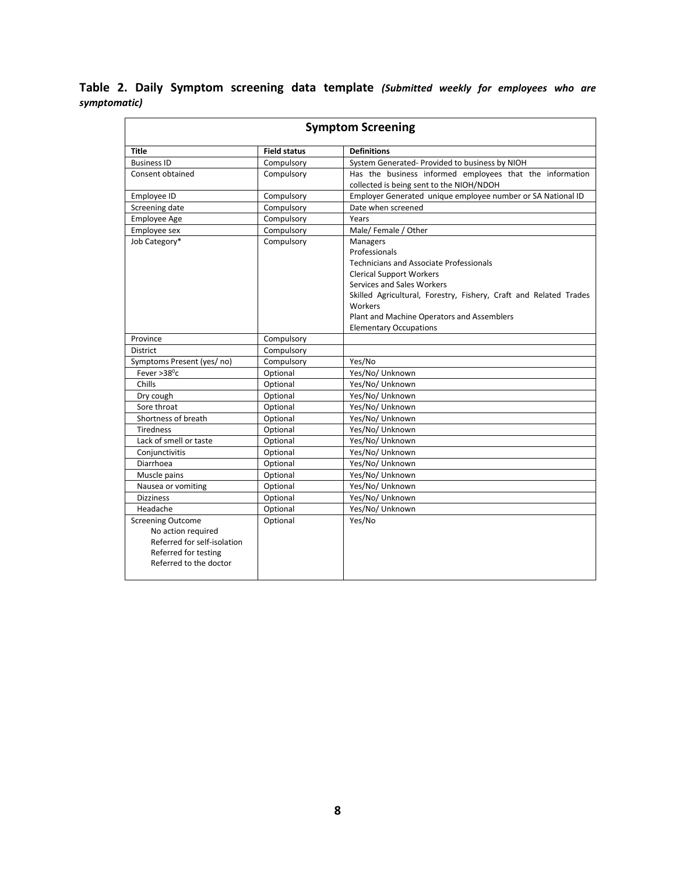**Table 2. Daily Symptom screening data template** *(Submitted weekly for employees who are symptomatic)*

| <b>Symptom Screening</b>                                                                                                        |                     |                                                                                                                                                                                                                                                                                                             |  |  |  |
|---------------------------------------------------------------------------------------------------------------------------------|---------------------|-------------------------------------------------------------------------------------------------------------------------------------------------------------------------------------------------------------------------------------------------------------------------------------------------------------|--|--|--|
| <b>Title</b>                                                                                                                    | <b>Field status</b> | <b>Definitions</b>                                                                                                                                                                                                                                                                                          |  |  |  |
| <b>Business ID</b>                                                                                                              | Compulsory          | System Generated- Provided to business by NIOH                                                                                                                                                                                                                                                              |  |  |  |
| Consent obtained                                                                                                                | Compulsory          | Has the business informed employees that the information                                                                                                                                                                                                                                                    |  |  |  |
|                                                                                                                                 |                     | collected is being sent to the NIOH/NDOH                                                                                                                                                                                                                                                                    |  |  |  |
| Employee ID                                                                                                                     | Compulsory          | Employer Generated unique employee number or SA National ID                                                                                                                                                                                                                                                 |  |  |  |
| Screening date                                                                                                                  | Compulsory          | Date when screened                                                                                                                                                                                                                                                                                          |  |  |  |
| <b>Employee Age</b>                                                                                                             | Compulsory          | Years                                                                                                                                                                                                                                                                                                       |  |  |  |
| Employee sex                                                                                                                    | Compulsory          | Male/Female / Other                                                                                                                                                                                                                                                                                         |  |  |  |
| Job Category*                                                                                                                   | Compulsory          | Managers<br>Professionals<br><b>Technicians and Associate Professionals</b><br><b>Clerical Support Workers</b><br>Services and Sales Workers<br>Skilled Agricultural, Forestry, Fishery, Craft and Related Trades<br>Workers<br>Plant and Machine Operators and Assemblers<br><b>Elementary Occupations</b> |  |  |  |
| Province                                                                                                                        | Compulsory          |                                                                                                                                                                                                                                                                                                             |  |  |  |
| <b>District</b>                                                                                                                 | Compulsory          |                                                                                                                                                                                                                                                                                                             |  |  |  |
| Symptoms Present (yes/ no)                                                                                                      | Compulsory          | Yes/No                                                                                                                                                                                                                                                                                                      |  |  |  |
| Fever $>38^{\circ}$ c                                                                                                           | Optional            | Yes/No/ Unknown                                                                                                                                                                                                                                                                                             |  |  |  |
| Chills                                                                                                                          | Optional            | Yes/No/ Unknown                                                                                                                                                                                                                                                                                             |  |  |  |
| Dry cough                                                                                                                       | Optional            | Yes/No/ Unknown                                                                                                                                                                                                                                                                                             |  |  |  |
| Sore throat                                                                                                                     | Optional            | Yes/No/ Unknown                                                                                                                                                                                                                                                                                             |  |  |  |
| Shortness of breath                                                                                                             | Optional            | Yes/No/ Unknown                                                                                                                                                                                                                                                                                             |  |  |  |
| <b>Tiredness</b>                                                                                                                | Optional            | Yes/No/ Unknown                                                                                                                                                                                                                                                                                             |  |  |  |
| Lack of smell or taste                                                                                                          | Optional            | Yes/No/ Unknown                                                                                                                                                                                                                                                                                             |  |  |  |
| Conjunctivitis                                                                                                                  | Optional            | Yes/No/ Unknown                                                                                                                                                                                                                                                                                             |  |  |  |
| Diarrhoea                                                                                                                       | Optional            | Yes/No/ Unknown                                                                                                                                                                                                                                                                                             |  |  |  |
| Muscle pains                                                                                                                    | Optional            | Yes/No/ Unknown                                                                                                                                                                                                                                                                                             |  |  |  |
| Nausea or vomiting                                                                                                              | Optional            | Yes/No/ Unknown                                                                                                                                                                                                                                                                                             |  |  |  |
| <b>Dizziness</b>                                                                                                                | Optional            | Yes/No/ Unknown                                                                                                                                                                                                                                                                                             |  |  |  |
| Headache                                                                                                                        | Optional            | Yes/No/ Unknown                                                                                                                                                                                                                                                                                             |  |  |  |
| <b>Screening Outcome</b><br>No action required<br>Referred for self-isolation<br>Referred for testing<br>Referred to the doctor | Optional            | Yes/No                                                                                                                                                                                                                                                                                                      |  |  |  |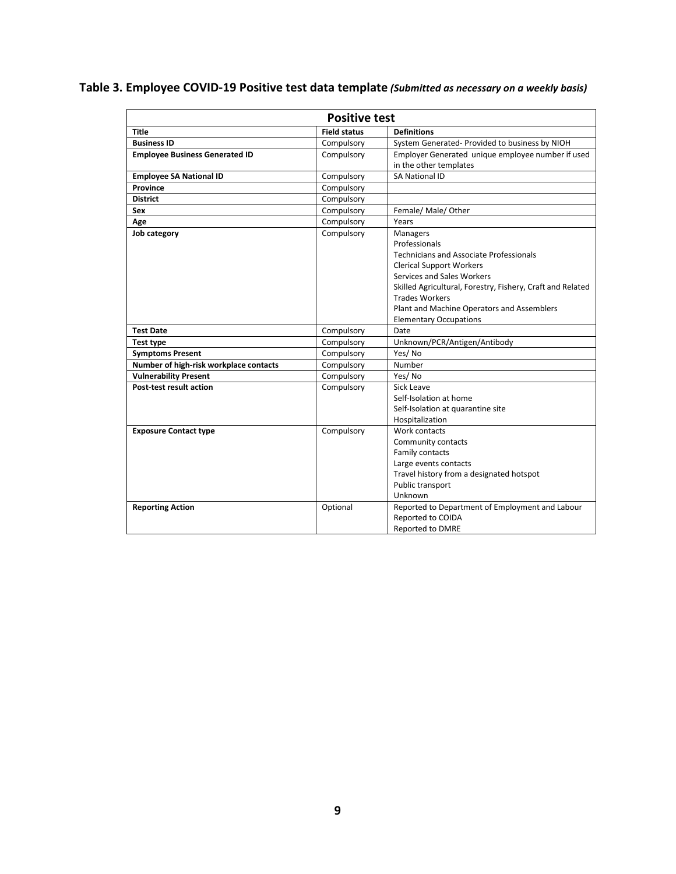#### **Table 3. Employee COVID-19 Positive test data template** *(Submitted as necessary on a weekly basis)*

| <b>Positive test</b>                   |                     |                                                                                                                                                                                                                                                                                                                    |  |  |
|----------------------------------------|---------------------|--------------------------------------------------------------------------------------------------------------------------------------------------------------------------------------------------------------------------------------------------------------------------------------------------------------------|--|--|
| <b>Title</b>                           | <b>Field status</b> | <b>Definitions</b>                                                                                                                                                                                                                                                                                                 |  |  |
| <b>Business ID</b>                     | Compulsory          | System Generated- Provided to business by NIOH                                                                                                                                                                                                                                                                     |  |  |
| <b>Employee Business Generated ID</b>  | Compulsory          | Employer Generated unique employee number if used<br>in the other templates                                                                                                                                                                                                                                        |  |  |
| <b>Employee SA National ID</b>         | Compulsory          | <b>SA National ID</b>                                                                                                                                                                                                                                                                                              |  |  |
| <b>Province</b>                        | Compulsory          |                                                                                                                                                                                                                                                                                                                    |  |  |
| <b>District</b>                        | Compulsory          |                                                                                                                                                                                                                                                                                                                    |  |  |
| Sex                                    | Compulsory          | Female/ Male/ Other                                                                                                                                                                                                                                                                                                |  |  |
| Age                                    | Compulsory          | Years                                                                                                                                                                                                                                                                                                              |  |  |
| Job category                           | Compulsory          | Managers<br>Professionals<br><b>Technicians and Associate Professionals</b><br><b>Clerical Support Workers</b><br>Services and Sales Workers<br>Skilled Agricultural, Forestry, Fishery, Craft and Related<br><b>Trades Workers</b><br>Plant and Machine Operators and Assemblers<br><b>Elementary Occupations</b> |  |  |
| <b>Test Date</b>                       | Compulsory          | Date                                                                                                                                                                                                                                                                                                               |  |  |
| Test type                              | Compulsory          | Unknown/PCR/Antigen/Antibody                                                                                                                                                                                                                                                                                       |  |  |
| <b>Symptoms Present</b>                | Compulsory          | Yes/No                                                                                                                                                                                                                                                                                                             |  |  |
| Number of high-risk workplace contacts | Compulsory          | Number                                                                                                                                                                                                                                                                                                             |  |  |
| <b>Vulnerability Present</b>           | Compulsory          | Yes/No                                                                                                                                                                                                                                                                                                             |  |  |
| Post-test result action                | Compulsory          | Sick Leave<br>Self-Isolation at home<br>Self-Isolation at quarantine site<br>Hospitalization                                                                                                                                                                                                                       |  |  |
| <b>Exposure Contact type</b>           | Compulsory          | Work contacts<br>Community contacts<br>Family contacts<br>Large events contacts<br>Travel history from a designated hotspot<br>Public transport<br>Unknown                                                                                                                                                         |  |  |
| <b>Reporting Action</b>                | Optional            | Reported to Department of Employment and Labour<br>Reported to COIDA<br><b>Reported to DMRE</b>                                                                                                                                                                                                                    |  |  |